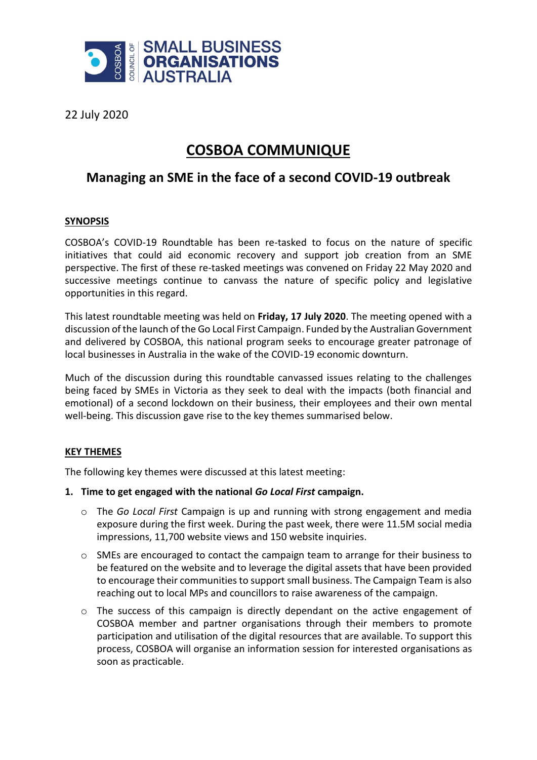

22 July 2020

# **COSBOA COMMUNIQUE**

# **Managing an SME in the face of a second COVID-19 outbreak**

## **SYNOPSIS**

COSBOA's COVID-19 Roundtable has been re-tasked to focus on the nature of specific initiatives that could aid economic recovery and support job creation from an SME perspective. The first of these re-tasked meetings was convened on Friday 22 May 2020 and successive meetings continue to canvass the nature of specific policy and legislative opportunities in this regard.

This latest roundtable meeting was held on **Friday, 17 July 2020**. The meeting opened with a discussion of the launch of the Go Local First Campaign. Funded by the Australian Government and delivered by COSBOA, this national program seeks to encourage greater patronage of local businesses in Australia in the wake of the COVID-19 economic downturn.

Much of the discussion during this roundtable canvassed issues relating to the challenges being faced by SMEs in Victoria as they seek to deal with the impacts (both financial and emotional) of a second lockdown on their business, their employees and their own mental well-being. This discussion gave rise to the key themes summarised below.

# **KEY THEMES**

The following key themes were discussed at this latest meeting:

### **1. Time to get engaged with the national** *Go Local First* **campaign.**

- o The *Go Local First* Campaign is up and running with strong engagement and media exposure during the first week. During the past week, there were 11.5M social media impressions, 11,700 website views and 150 website inquiries.
- o SMEs are encouraged to contact the campaign team to arrange for their business to be featured on the website and to leverage the digital assets that have been provided to encourage their communities to support small business. The Campaign Team is also reaching out to local MPs and councillors to raise awareness of the campaign.
- o The success of this campaign is directly dependant on the active engagement of COSBOA member and partner organisations through their members to promote participation and utilisation of the digital resources that are available. To support this process, COSBOA will organise an information session for interested organisations as soon as practicable.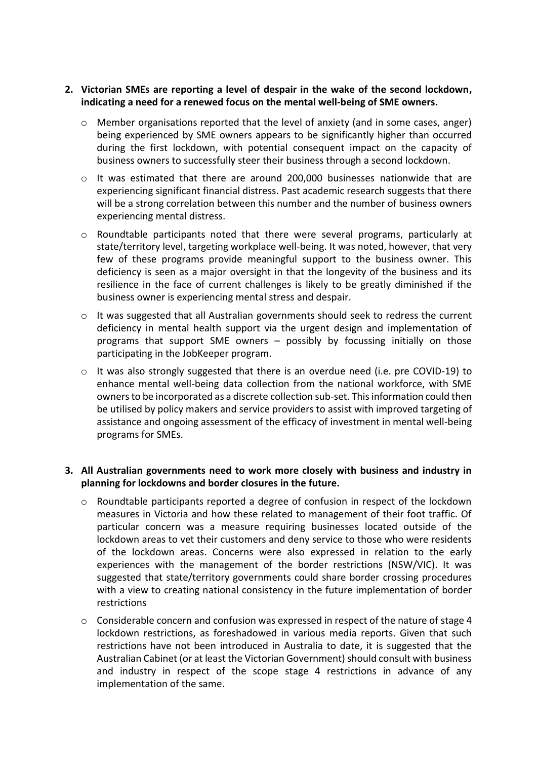### **2. Victorian SMEs are reporting a level of despair in the wake of the second lockdown, indicating a need for a renewed focus on the mental well-being of SME owners.**

- o Member organisations reported that the level of anxiety (and in some cases, anger) being experienced by SME owners appears to be significantly higher than occurred during the first lockdown, with potential consequent impact on the capacity of business owners to successfully steer their business through a second lockdown.
- o It was estimated that there are around 200,000 businesses nationwide that are experiencing significant financial distress. Past academic research suggests that there will be a strong correlation between this number and the number of business owners experiencing mental distress.
- $\circ$  Roundtable participants noted that there were several programs, particularly at state/territory level, targeting workplace well-being. It was noted, however, that very few of these programs provide meaningful support to the business owner. This deficiency is seen as a major oversight in that the longevity of the business and its resilience in the face of current challenges is likely to be greatly diminished if the business owner is experiencing mental stress and despair.
- $\circ$  It was suggested that all Australian governments should seek to redress the current deficiency in mental health support via the urgent design and implementation of programs that support SME owners – possibly by focussing initially on those participating in the JobKeeper program.
- o It was also strongly suggested that there is an overdue need (i.e. pre COVID-19) to enhance mental well-being data collection from the national workforce, with SME owners to be incorporated as a discrete collection sub-set. This information could then be utilised by policy makers and service providers to assist with improved targeting of assistance and ongoing assessment of the efficacy of investment in mental well-being programs for SMEs.

### **3. All Australian governments need to work more closely with business and industry in planning for lockdowns and border closures in the future.**

- o Roundtable participants reported a degree of confusion in respect of the lockdown measures in Victoria and how these related to management of their foot traffic. Of particular concern was a measure requiring businesses located outside of the lockdown areas to vet their customers and deny service to those who were residents of the lockdown areas. Concerns were also expressed in relation to the early experiences with the management of the border restrictions (NSW/VIC). It was suggested that state/territory governments could share border crossing procedures with a view to creating national consistency in the future implementation of border restrictions
- $\circ$  Considerable concern and confusion was expressed in respect of the nature of stage 4 lockdown restrictions, as foreshadowed in various media reports. Given that such restrictions have not been introduced in Australia to date, it is suggested that the Australian Cabinet (or at least the Victorian Government) should consult with business and industry in respect of the scope stage 4 restrictions in advance of any implementation of the same.